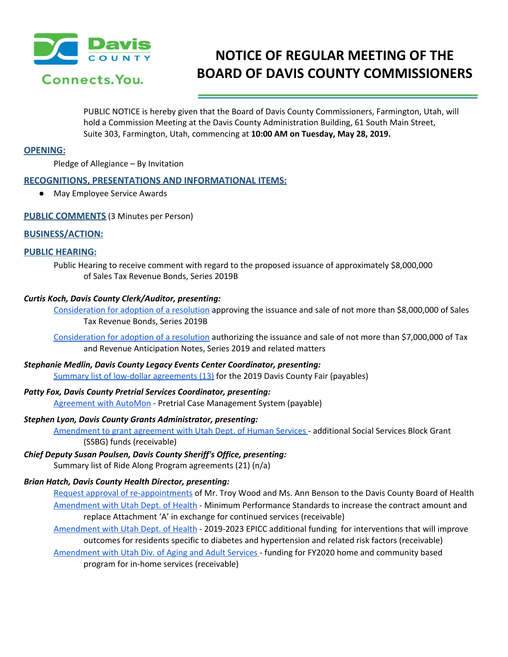

# **NOTICE OF REGULAR MEETING OF THE BOARD OF DAVIS COUNTY COMMISSIONERS**

PUBLIC NOTICE is hereby given that the Board of Davis County Commissioners, Farmington, Utah, will hold a Commission Meeting at the Davis County Administration Building, 61 South Main Street, Suite 303, Farmington, Utah, commencing at **10:00 AM on Tuesday, May 28, 2019.**

# **OPENING:**

Pledge of Allegiance – By Invitation

# **RECOGNITIONS, PRESENTATIONS AND INFORMATIONAL ITEMS:**

● May Employee Service Awards

# **PUBLIC COMMENTS** (3 Minutes per Person)

### **BUSINESS/ACTION:**

# **PUBLIC HEARING:**

Public Hearing to receive comment with regard to the proposed issuance of approximately \$8,000,000 of Sales Tax Revenue Bonds, Series 2019B

### *Curtis Koch, Davis County Clerk/Auditor, presenting:*

[Consideration](https://drive.google.com/a/co.davis.ut.us/file/d/1gk1Rol8QQFTluasJmntXnbpRuJkStY0q/view?usp=drivesdk) for adoption of a resolution approving the issuance and sale of not more than \$8,000,000 of Sales Tax Revenue Bonds, Series 2019B

[Consideration](https://drive.google.com/a/co.davis.ut.us/file/d/1A4NWo_Fr0JsGiBShOCTH9OPpSBN0ATJo/view?usp=drivesdk) for adoption of a resolution authorizing the issuance and sale of not more than \$7,000,000 of Tax and Revenue Anticipation Notes, Series 2019 and related matters

# *Stephanie Medlin, Davis County Legacy Events Center Coordinator, presenting:* Summary list of low-dollar [agreements](https://drive.google.com/a/co.davis.ut.us/file/d/126r54qxbo8JUTt-AwYfzxlFpamxC4B3B/view?usp=drivesdk) (13) for the 2019 Davis County Fair (payables)

*Patty Fox, Davis County Pretrial Services Coordinator, presenting:*

[Agreement](https://drive.google.com/a/co.davis.ut.us/file/d/119Rmr9aLv0TI1umK58s5oEaw9xHZc8Wi/view?usp=drivesdk) with AutoMon - Pretrial Case Management System (payable)

# *Stephen Lyon, Davis County Grants Administrator, presenting:*

[Amendment](https://drive.google.com/a/co.davis.ut.us/file/d/1S7YCShb2FZ49S_Ei6lgIH7y0V092OtDr/view?usp=drivesdk) to grant agreement with Utah Dept. of Human Services - additional Social Services Block Grant (SSBG) funds (receivable)

# *Chief Deputy Susan Poulsen, Davis County Sheriff's Office, presenting:*

Summary list of Ride Along Program agreements (21) (n/a)

# *Brian Hatch, Davis County Health Director, presenting:*

- Request approval of [re-appointments](https://drive.google.com/a/co.davis.ut.us/file/d/1n5v58wZcFQwoXH97PqXJl6YXbQeFiWcp/view?usp=drivesdk) of Mr. Troy Wood and Ms. Ann Benson to the Davis County Board of Health [Amendment](https://drive.google.com/a/co.davis.ut.us/file/d/1NeF04iAF0p2RpRHo4hFooLWzbd7GQsA_/view?usp=drivesdk) with Utah Dept. of Health - Minimum Performance Standards to increase the contract amount and replace Attachment 'A' in exchange for continued services (receivable)
- [Amendment](https://drive.google.com/a/co.davis.ut.us/file/d/140_fFLkEc6Qe95pRMFzHHrJo70c2g8_r/view?usp=drivesdk) with Utah Dept. of Health 2019-2023 EPICC additional funding for interventions that will improve outcomes for residents specific to diabetes and hypertension and related risk factors (receivable)
- [Amendment](https://drive.google.com/a/co.davis.ut.us/file/d/1h0SJh1YGyGvGRC9LSIRCqRypO3HzC___/view?usp=drivesdk) with Utah Div. of Aging and Adult Services funding for FY2020 home and community based program for in-home services (receivable)